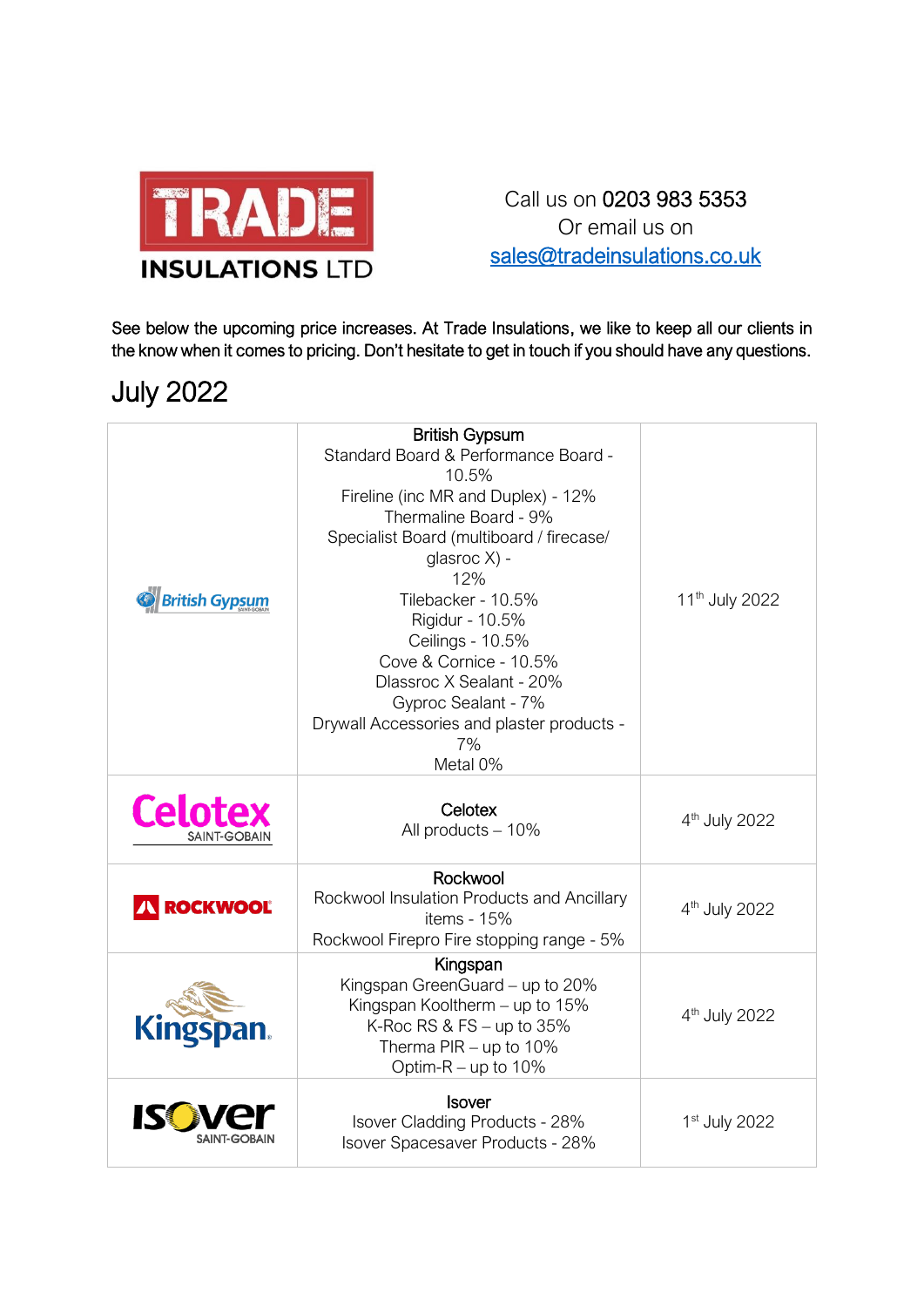

## Call us on 0203 983 5353 Or email us on [sales@tradeinsulations.co.uk](mailto:sales@tradeinsulations.co.uk)

See below the upcoming price increases. At Trade Insulations, we like to keep all our clients in the know when it comes to pricing. Don't hesitate to get in touch if you should have any questions.

## July 2022

| <b>British Gypsum</b>          | <b>British Gypsum</b><br>Standard Board & Performance Board -<br>10.5%<br>Fireline (inc MR and Duplex) - 12%<br>Thermaline Board - 9%<br>Specialist Board (multiboard / firecase/<br>glasroc X) -<br>12%<br>Tilebacker - 10.5%<br>Rigidur - 10.5%<br>Ceilings - 10.5%<br>Cove & Cornice - 10.5%<br>Dlassroc X Sealant - 20%<br>Gyproc Sealant - 7%<br>Drywall Accessories and plaster products -<br>7%<br>Metal 0% | 11 <sup>th</sup> July 2022 |
|--------------------------------|--------------------------------------------------------------------------------------------------------------------------------------------------------------------------------------------------------------------------------------------------------------------------------------------------------------------------------------------------------------------------------------------------------------------|----------------------------|
| <b>Celotex</b><br>SAINT-GOBAIN | Celotex<br>All products - 10%                                                                                                                                                                                                                                                                                                                                                                                      | 4 <sup>th</sup> July 2022  |
| <b>ROCKWOOL</b>                | Rockwool<br>Rockwool Insulation Products and Ancillary<br>items - 15%<br>Rockwool Firepro Fire stopping range - 5%                                                                                                                                                                                                                                                                                                 | 4 <sup>th</sup> July 2022  |
| Kingspan.                      | Kingspan<br>Kingspan GreenGuard - up to 20%<br>Kingspan Kooltherm - up to 15%<br>K-Roc RS & FS $-$ up to 35%<br>Therma $PIR - up$ to 10%<br>Optim-R $-$ up to 10%                                                                                                                                                                                                                                                  | 4 <sup>th</sup> July 2022  |
| SAINT-GOBAIN                   | <b>Isover</b><br>Isover Cladding Products - 28%<br>Isover Spacesaver Products - 28%                                                                                                                                                                                                                                                                                                                                | 1st July 2022              |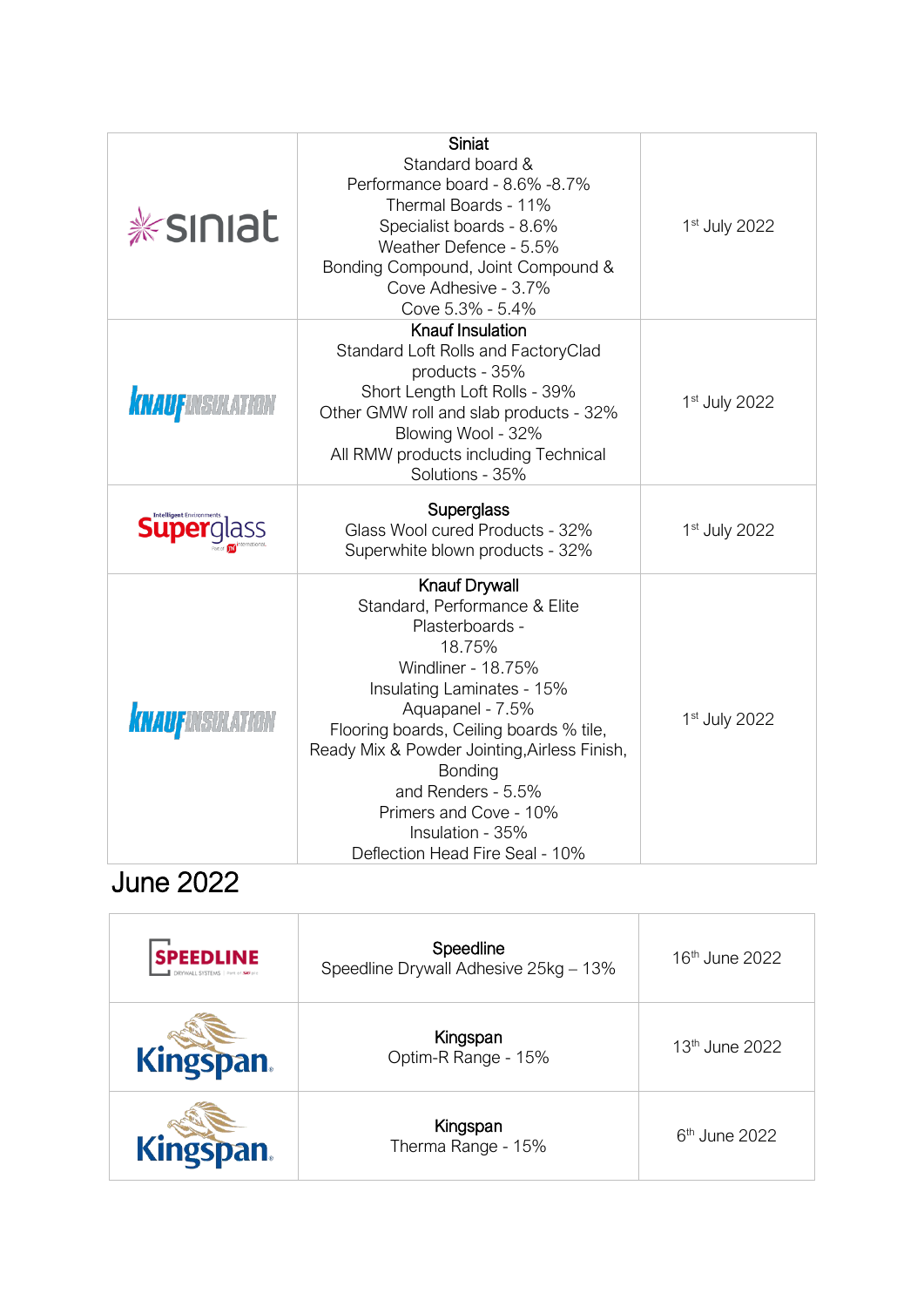| <b><i>*siniat</i></b>  | Siniat<br>Standard board &<br>Performance board - 8.6% - 8.7%<br>Thermal Boards - 11%<br>Specialist boards - 8.6%<br>Weather Defence - 5.5%<br>Bonding Compound, Joint Compound &<br>Cove Adhesive - 3.7%<br>Cove 5.3% - 5.4%                                                                                                                                           | 1 <sup>st</sup> July 2022 |
|------------------------|-------------------------------------------------------------------------------------------------------------------------------------------------------------------------------------------------------------------------------------------------------------------------------------------------------------------------------------------------------------------------|---------------------------|
| <b>KNAUFINSULATION</b> | Knauf Insulation<br>Standard Loft Rolls and FactoryClad<br>products - 35%<br>Short Length Loft Rolls - 39%<br>Other GMW roll and slab products - 32%<br>Blowing Wool - 32%<br>All RMW products including Technical<br>Solutions - 35%                                                                                                                                   | 1 <sup>st</sup> July 2022 |
| Superglass             | <b>Superglass</b><br>Glass Wool cured Products - 32%<br>Superwhite blown products - 32%                                                                                                                                                                                                                                                                                 | 1 <sup>st</sup> July 2022 |
| <b>KNAUFINSULATION</b> | <b>Knauf Drywall</b><br>Standard, Performance & Elite<br>Plasterboards -<br>18.75%<br>Windliner - 18.75%<br>Insulating Laminates - 15%<br>Aquapanel - 7.5%<br>Flooring boards, Ceiling boards % tile,<br>Ready Mix & Powder Jointing, Airless Finish,<br>Bonding<br>and Renders - 5.5%<br>Primers and Cove - 10%<br>Insulation - 35%<br>Deflection Head Fire Seal - 10% | 1 <sup>st</sup> July 2022 |

## June 2022

| <b>SPEEDLINE</b><br>DRYWALL SYSTEMS   Part of SEP pl | Speedline<br>Speedline Drywall Adhesive 25kg - 13% | 16 <sup>th</sup> June 2022 |
|------------------------------------------------------|----------------------------------------------------|----------------------------|
| Kingspan.                                            | Kingspan<br>Optim-R Range - 15%                    | $13th$ June 2022           |
| Kingspan.                                            | Kingspan<br>Therma Range - 15%                     | $6th$ June 2022            |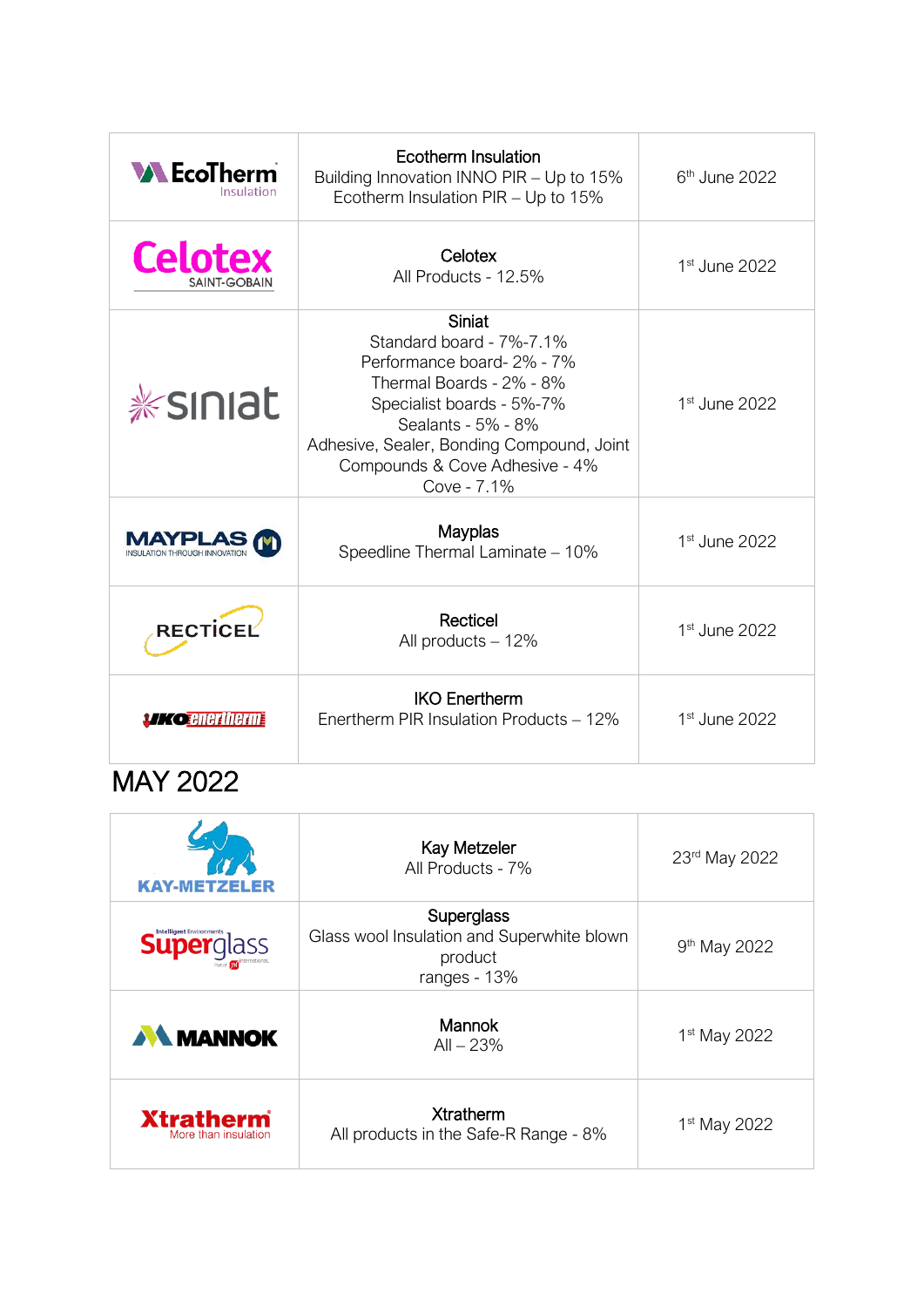| <b>WEcoTherm</b><br>Insulation        | <b>Ecotherm Insulation</b><br>Building Innovation INNO PIR - Up to 15%<br>Ecotherm Insulation PIR - Up to 15%                                                                                                                                       | $6th$ June 2022           |
|---------------------------------------|-----------------------------------------------------------------------------------------------------------------------------------------------------------------------------------------------------------------------------------------------------|---------------------------|
| <b>Celotex</b><br><b>SAINT-GOBAIN</b> | Celotex<br>All Products - 12.5%                                                                                                                                                                                                                     | 1 <sup>st</sup> June 2022 |
| <b><i>*siniat</i></b>                 | <b>Siniat</b><br>Standard board - 7%-7.1%<br>Performance board-2% - 7%<br>Thermal Boards - 2% - 8%<br>Specialist boards - 5%-7%<br>Sealants - 5% - 8%<br>Adhesive, Sealer, Bonding Compound, Joint<br>Compounds & Cove Adhesive - 4%<br>Cove - 7.1% | 1 <sup>st</sup> June 2022 |
|                                       | Mayplas<br>Speedline Thermal Laminate - 10%                                                                                                                                                                                                         | 1 <sup>st</sup> June 2022 |
| RECTICEL                              | Recticel<br>All products - 12%                                                                                                                                                                                                                      | 1 <sup>st</sup> June 2022 |
| <b><i>Ko</i> enertherm</b>            | <b>IKO Enertherm</b><br>Enertherm PIR Insulation Products - 12%                                                                                                                                                                                     | 1 <sup>st</sup> June 2022 |

## MAY 2022

| <b>KAY-METZEL</b>                        | <b>Kay Metzeler</b><br>All Products - 7%                                            | 23rd May 2022            |
|------------------------------------------|-------------------------------------------------------------------------------------|--------------------------|
| <b>Superglass</b>                        | Superglass<br>Glass wool Insulation and Superwhite blown<br>product<br>ranges - 13% | 9 <sup>th</sup> May 2022 |
| <b>AN MANNOK</b>                         | <b>Mannok</b><br>$All - 23%$                                                        | 1 <sup>st</sup> May 2022 |
| <b>Xtratherm</b><br>More than insulation | <b>Xtratherm</b><br>All products in the Safe-R Range - 8%                           | 1 <sup>st</sup> May 2022 |